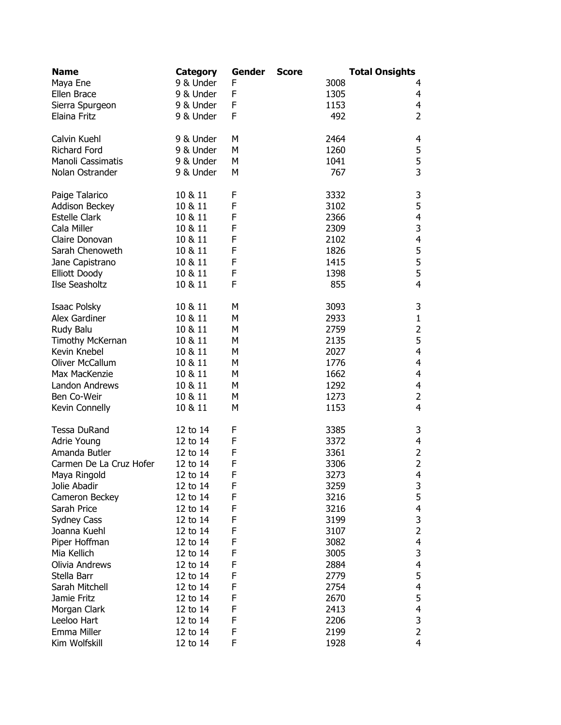| <b>Name</b>             | Category  | Gender | <b>Score</b> | <b>Total Onsights</b> |                          |
|-------------------------|-----------|--------|--------------|-----------------------|--------------------------|
| Maya Ene                | 9 & Under | F      |              | 3008                  | 4                        |
| Ellen Brace             | 9 & Under | F      |              | 1305                  | 4                        |
| Sierra Spurgeon         | 9 & Under | F      |              | 1153                  | $\overline{4}$           |
| Elaina Fritz            | 9 & Under | F      |              | 492                   | $\overline{2}$           |
| Calvin Kuehl            | 9 & Under | M      |              | 2464                  | 4                        |
| <b>Richard Ford</b>     | 9 & Under | М      |              | 1260                  |                          |
| Manoli Cassimatis       | 9 & Under | M      |              | 1041                  |                          |
| Nolan Ostrander         | 9 & Under | M      |              | 767                   | $\frac{5}{3}$            |
| Paige Talarico          | 10 & 11   | F      |              | 3332                  | 3                        |
| Addison Beckey          | 10 & 11   | F      |              | 3102                  | 5                        |
| <b>Estelle Clark</b>    | 10 & 11   | F      |              | 2366                  | $\overline{\mathbf{4}}$  |
| Cala Miller             | 10 & 11   | F      |              | 2309                  | $\mathsf{3}$             |
| Claire Donovan          | 10 & 11   | F      |              | 2102                  | $\overline{4}$           |
| Sarah Chenoweth         | 10 & 11   | F      |              | 1826                  |                          |
| Jane Capistrano         | 10 & 11   | F      |              | 1415                  | $\frac{5}{5}$            |
| <b>Elliott Doody</b>    | 10 & 11   | F      |              | 1398                  |                          |
| Ilse Seasholtz          | 10 & 11   | F      |              | 855                   | $\overline{4}$           |
| Isaac Polsky            | 10 & 11   | M      |              | 3093                  | 3                        |
| Alex Gardiner           | 10 & 11   | Μ      |              | 2933                  | $\mathbf 1$              |
| Rudy Balu               | 10 & 11   | Μ      |              | 2759                  | $\overline{2}$           |
| Timothy McKernan        | 10 & 11   | Μ      |              | 2135                  | 5                        |
| Kevin Knebel            | 10 & 11   | М      |              | 2027                  | $\overline{\mathbf{4}}$  |
| Oliver McCallum         | 10 & 11   | М      |              | 1776                  | $\overline{4}$           |
| Max MacKenzie           | 10 & 11   | М      |              | 1662                  | $\overline{4}$           |
| Landon Andrews          | 10 & 11   | М      |              | 1292                  | $\overline{\mathbf{4}}$  |
| Ben Co-Weir             | 10 & 11   | М      |              | 1273                  | $\overline{2}$           |
| Kevin Connelly          | 10 & 11   | M      |              | 1153                  | $\overline{4}$           |
| <b>Tessa DuRand</b>     | 12 to 14  | F      |              | 3385                  | 3                        |
| Adrie Young             | 12 to 14  | F      |              | 3372                  | $\overline{\mathbf{4}}$  |
| Amanda Butler           | 12 to 14  | F      |              | 3361                  | $\overline{c}$           |
| Carmen De La Cruz Hofer | 12 to 14  | F      |              | 3306                  | $\overline{2}$           |
| Maya Ringold            | 12 to 14  | F      |              | 3273                  | 4                        |
| Jolie Abadir            | 12 to 14  | F      |              | 3259                  | 3                        |
| Cameron Beckey          | 12 to 14  | F      |              | 3216                  | 5                        |
| Sarah Price             | 12 to 14  | F      |              | 3216                  | 4                        |
| Sydney Cass             | 12 to 14  | F      |              | 3199                  | $\frac{3}{2}$            |
| Joanna Kuehl            | 12 to 14  | F      |              | 3107                  |                          |
| Piper Hoffman           | 12 to 14  | F      |              | 3082                  | $\overline{\mathbf{4}}$  |
| Mia Kellich             | 12 to 14  | F      |              | 3005                  | 3                        |
| Olivia Andrews          | 12 to 14  | F      |              | 2884                  | $\overline{\mathcal{A}}$ |
| Stella Barr             | 12 to 14  | F      |              | 2779                  | 5                        |
| Sarah Mitchell          | 12 to 14  | F      |              | 2754                  | 4                        |
| Jamie Fritz             | 12 to 14  | F      |              | 2670                  | 5                        |
| Morgan Clark            | 12 to 14  | F      |              | 2413                  | 4                        |
| Leeloo Hart             | 12 to 14  | F      |              | 2206                  | 3                        |
| Emma Miller             | 12 to 14  | F      |              | 2199                  | $\overline{2}$           |
| Kim Wolfskill           | 12 to 14  | F      |              | 1928                  | 4                        |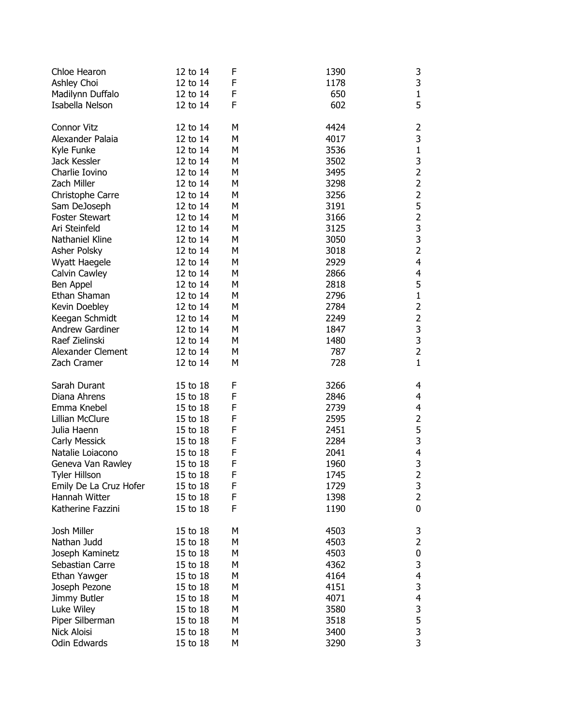| Chloe Hearon           | 12 to 14 | F           | 1390 | 3                                                   |
|------------------------|----------|-------------|------|-----------------------------------------------------|
| Ashley Choi            | 12 to 14 | F           | 1178 | 3                                                   |
| Madilynn Duffalo       | 12 to 14 | F           | 650  | $\frac{1}{5}$                                       |
| Isabella Nelson        | 12 to 14 | F           | 602  |                                                     |
| <b>Connor Vitz</b>     | 12 to 14 | М           | 4424 | $\overline{\mathbf{c}}$                             |
| Alexander Palaia       | 12 to 14 | М           | 4017 | 3                                                   |
| Kyle Funke             | 12 to 14 | М           | 3536 |                                                     |
| Jack Kessler           | 12 to 14 | М           | 3502 | $\begin{array}{c} 1 \\ 3 \\ 2 \end{array}$          |
| Charlie Iovino         | 12 to 14 | M           | 3495 |                                                     |
| Zach Miller            | 12 to 14 | М           | 3298 | $\overline{\mathbf{c}}$                             |
| Christophe Carre       | 12 to 14 | M           | 3256 | $\begin{array}{c}\n 2 \\ 5 \\ 2 \\ 3\n \end{array}$ |
| Sam DeJoseph           | 12 to 14 | M           | 3191 |                                                     |
| <b>Foster Stewart</b>  | 12 to 14 | M           | 3166 |                                                     |
| Ari Steinfeld          | 12 to 14 | М           | 3125 |                                                     |
| Nathaniel Kline        | 12 to 14 | М           | 3050 | 3                                                   |
| Asher Polsky           | 12 to 14 | М           | 3018 | $\overline{2}$                                      |
| Wyatt Haegele          | 12 to 14 | M           | 2929 | $\overline{\mathbf{4}}$                             |
| Calvin Cawley          | 12 to 14 | M           | 2866 | $\overline{\mathbf{4}}$                             |
| Ben Appel              | 12 to 14 | M           | 2818 | $\begin{array}{c} 5 \\ 1 \end{array}$               |
| Ethan Shaman           | 12 to 14 | M           | 2796 |                                                     |
| Kevin Doebley          | 12 to 14 | M           | 2784 | $\overline{2}$                                      |
| Keegan Schmidt         | 12 to 14 | M           | 2249 | $\overline{2}$                                      |
| Andrew Gardiner        | 12 to 14 | М           | 1847 |                                                     |
| Raef Zielinski         | 12 to 14 | М           | 1480 | $\begin{array}{c} 3 \\ 3 \\ 2 \end{array}$          |
| Alexander Clement      | 12 to 14 | М           | 787  |                                                     |
| Zach Cramer            | 12 to 14 | M           | 728  | $\mathbf{1}$                                        |
| Sarah Durant           | 15 to 18 | F           | 3266 | 4                                                   |
| Diana Ahrens           | 15 to 18 | F           | 2846 | 4                                                   |
| Emma Knebel            | 15 to 18 | F           | 2739 | 4                                                   |
| Lillian McClure        | 15 to 18 | F           | 2595 | $\overline{c}$                                      |
| Julia Haenn            | 15 to 18 | F           | 2451 |                                                     |
| Carly Messick          | 15 to 18 | $\mathsf F$ | 2284 | $\frac{5}{3}$                                       |
| Natalie Loiacono       | 15 to 18 | F           | 2041 | $\overline{\mathcal{A}}$                            |
| Geneva Van Rawley      | 15 to 18 | $\mathsf F$ | 1960 | 3                                                   |
| <b>Tyler Hillson</b>   | 15 to 18 | F           | 1745 | $\overline{c}$                                      |
| Emily De La Cruz Hofer | 15 to 18 | F           | 1729 | 3                                                   |
| Hannah Witter          | 15 to 18 | F           | 1398 | $\overline{2}$                                      |
| Katherine Fazzini      | 15 to 18 | F           | 1190 | $\mathbf 0$                                         |
| Josh Miller            | 15 to 18 | М           | 4503 | 3                                                   |
| Nathan Judd            | 15 to 18 | M           | 4503 | $\overline{c}$                                      |
| Joseph Kaminetz        | 15 to 18 | M           | 4503 | $\bf{0}$                                            |
| Sebastian Carre        | 15 to 18 | M           | 4362 | 3                                                   |
| Ethan Yawger           | 15 to 18 | M           | 4164 | $\overline{\mathcal{A}}$                            |
| Joseph Pezone          | 15 to 18 | M           | 4151 |                                                     |
| Jimmy Butler           | 15 to 18 | M           | 4071 | $\frac{3}{4}$                                       |
| Luke Wiley             | 15 to 18 | M           | 3580 |                                                     |
| Piper Silberman        | 15 to 18 | M           | 3518 | $\begin{array}{c} 3 \\ 5 \\ 3 \end{array}$          |
| Nick Aloisi            | 15 to 18 | M           | 3400 |                                                     |
| Odin Edwards           | 15 to 18 | Μ           | 3290 | 3                                                   |